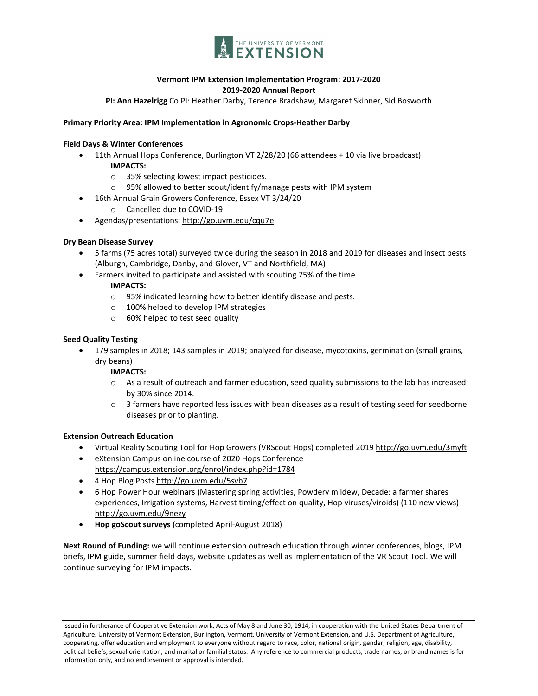

## **Vermont IPM Extension Implementation Program: 2017-2020 2019-2020 Annual Report**

**PI: Ann Hazelrigg** Co PI: Heather Darby, Terence Bradshaw, Margaret Skinner, Sid Bosworth

#### **Primary Priority Area: IPM Implementation in Agronomic Crops-Heather Darby**

#### **Field Days & Winter Conferences**

- 11th Annual Hops Conference, Burlington VT 2/28/20 (66 attendees + 10 via live broadcast) **IMPACTS:**
	- o 35% selecting lowest impact pesticides.
	- o 95% allowed to better scout/identify/manage pests with IPM system
	- 16th Annual Grain Growers Conference, Essex VT 3/24/20
		- o Cancelled due to COVID-19
- Agendas/presentations[: http://go.uvm.edu/cqu7e](http://go.uvm.edu/cqu7e)

#### **Dry Bean Disease Survey**

- 5 farms (75 acres total) surveyed twice during the season in 2018 and 2019 for diseases and insect pests (Alburgh, Cambridge, Danby, and Glover, VT and Northfield, MA)
- Farmers invited to participate and assisted with scouting 75% of the time

#### **IMPACTS:**

- o 95% indicated learning how to better identify disease and pests.
- o 100% helped to develop IPM strategies
- o 60% helped to test seed quality

### **Seed Quality Testing**

• 179 samples in 2018; 143 samples in 2019; analyzed for disease, mycotoxins, germination (small grains, dry beans)

### **IMPACTS:**

- o As a result of outreach and farmer education, seed quality submissions to the lab has increased by 30% since 2014.
- o 3 farmers have reported less issues with bean diseases as a result of testing seed for seedborne diseases prior to planting.

### **Extension Outreach Education**

- Virtual Reality Scouting Tool for Hop Growers (VRScout Hops) completed 2019 <http://go.uvm.edu/3myft>
- eXtension Campus online course of 2020 Hops Conference <https://campus.extension.org/enrol/index.php?id=1784>
- 4 Hop Blog Posts<http://go.uvm.edu/5svb7>
- 6 Hop Power Hour webinars (Mastering spring activities, Powdery mildew, Decade: a farmer shares experiences, Irrigation systems, Harvest timing/effect on quality, Hop viruses/viroids) (110 new views) <http://go.uvm.edu/9nezy>
- **Hop goScout surveys** (completed April-August 2018)

**Next Round of Funding:** we will continue extension outreach education through winter conferences, blogs, IPM briefs, IPM guide, summer field days, website updates as well as implementation of the VR Scout Tool. We will continue surveying for IPM impacts.

Issued in furtherance of Cooperative Extension work, Acts of May 8 and June 30, 1914, in cooperation with the United States Department of Agriculture. University of Vermont Extension, Burlington, Vermont. University of Vermont Extension, and U.S. Department of Agriculture, cooperating, offer education and employment to everyone without regard to race, color, national origin, gender, religion, age, disability, political beliefs, sexual orientation, and marital or familial status. Any reference to commercial products, trade names, or brand names is for information only, and no endorsement or approval is intended.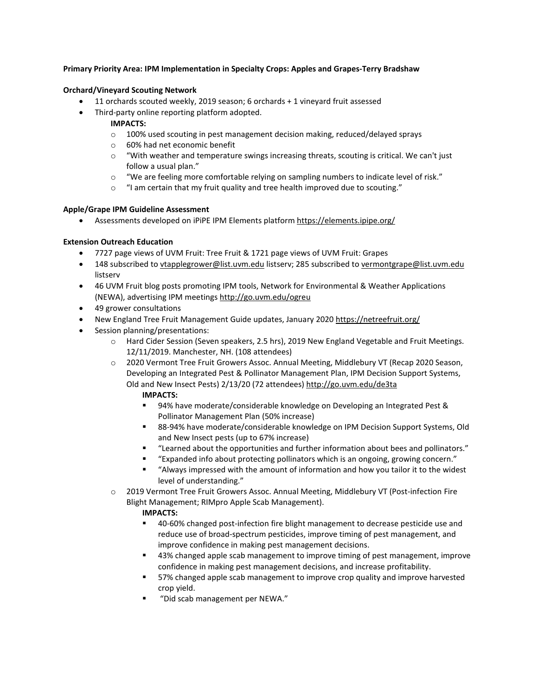#### **Primary Priority Area: IPM Implementation in Specialty Crops: Apples and Grapes-Terry Bradshaw**

#### **Orchard/Vineyard Scouting Network**

- 11 orchards scouted weekly, 2019 season; 6 orchards + 1 vineyard fruit assessed
- Third-party online reporting platform adopted.

## **IMPACTS:**

- $\circ$  100% used scouting in pest management decision making, reduced/delayed sprays
- o 60% had net economic benefit
- o "With weather and temperature swings increasing threats, scouting is critical. We can't just follow a usual plan."
- o "We are feeling more comfortable relying on sampling numbers to indicate level of risk."
- $\circ$  "I am certain that my fruit quality and tree health improved due to scouting."

#### **Apple/Grape IPM Guideline Assessment**

• Assessments developed on iPiPE IPM Elements platform<https://elements.ipipe.org/>

### **Extension Outreach Education**

- 7727 page views of UVM Fruit: Tree Fruit & 1721 page views of UVM Fruit: Grapes
- 148 subscribed t[o vtapplegrower@list.uvm.edu](mailto:vtapplegrower@list.uvm.edu) listserv; 285 subscribed t[o vermontgrape@list.uvm.edu](mailto:vermontgrape@list.uvm.edu) listserv
- 46 UVM Fruit blog posts promoting IPM tools, Network for Environmental & Weather Applications (NEWA), advertising IPM meetings<http://go.uvm.edu/ogreu>
- 49 grower consultations
- New England Tree Fruit Management Guide updates, January 2020<https://netreefruit.org/>
- Session planning/presentations:
	- o Hard Cider Session (Seven speakers, 2.5 hrs), 2019 New England Vegetable and Fruit Meetings. 12/11/2019. Manchester, NH. (108 attendees)
	- o 2020 Vermont Tree Fruit Growers Assoc. Annual Meeting, Middlebury VT (Recap 2020 Season, Developing an Integrated Pest & Pollinator Management Plan, IPM Decision Support Systems, Old and New Insect Pests) 2/13/20 (72 attendees)<http://go.uvm.edu/de3ta>
		- **IMPACTS:**
		- 94% have moderate/considerable knowledge on Developing an Integrated Pest & Pollinator Management Plan (50% increase)
		- 88-94% have moderate/considerable knowledge on IPM Decision Support Systems, Old and New Insect pests (up to 67% increase)
		- "Learned about the opportunities and further information about bees and pollinators."
		- "Expanded info about protecting pollinators which is an ongoing, growing concern."
		- "Always impressed with the amount of information and how you tailor it to the widest level of understanding."
	- o 2019 Vermont Tree Fruit Growers Assoc. Annual Meeting, Middlebury VT (Post-infection Fire Blight Management; RIMpro Apple Scab Management).

- 40-60% changed post-infection fire blight management to decrease pesticide use and reduce use of broad-spectrum pesticides, improve timing of pest management, and improve confidence in making pest management decisions.
- 43% changed apple scab management to improve timing of pest management, improve confidence in making pest management decisions, and increase profitability.
- 57% changed apple scab management to improve crop quality and improve harvested crop yield.
- "Did scab management per NEWA."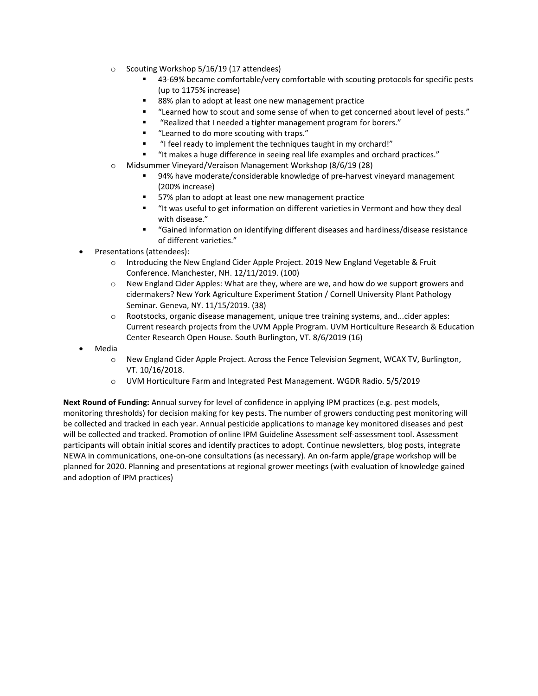- o Scouting Workshop 5/16/19 (17 attendees)
	- 43-69% became comfortable/very comfortable with scouting protocols for specific pests (up to 1175% increase)
	- 88% plan to adopt at least one new management practice
	- "Learned how to scout and some sense of when to get concerned about level of pests."
	- "Realized that I needed a tighter management program for borers."
	- "Learned to do more scouting with traps."
	- "I feel ready to implement the techniques taught in my orchard!"
	- "It makes a huge difference in seeing real life examples and orchard practices."
- o Midsummer Vineyard/Veraison Management Workshop (8/6/19 (28)
	- 94% have moderate/considerable knowledge of pre-harvest vineyard management (200% increase)
	- 57% plan to adopt at least one new management practice
	- "It was useful to get information on different varieties in Vermont and how they deal with disease."
	- "Gained information on identifying different diseases and hardiness/disease resistance of different varieties."
- Presentations (attendees):
	- $\circ$  Introducing the New England Cider Apple Project. 2019 New England Vegetable & Fruit Conference. Manchester, NH. 12/11/2019. (100)
	- o New England Cider Apples: What are they, where are we, and how do we support growers and cidermakers? New York Agriculture Experiment Station / Cornell University Plant Pathology Seminar. Geneva, NY. 11/15/2019. (38)
	- $\circ$  Rootstocks, organic disease management, unique tree training systems, and...cider apples: Current research projects from the UVM Apple Program. UVM Horticulture Research & Education Center Research Open House. South Burlington, VT. 8/6/2019 (16)
- Media
	- o New England Cider Apple Project. Across the Fence Television Segment, WCAX TV, Burlington, VT. 10/16/2018.
	- o UVM Horticulture Farm and Integrated Pest Management. WGDR Radio. 5/5/2019

**Next Round of Funding:** Annual survey for level of confidence in applying IPM practices (e.g. pest models, monitoring thresholds) for decision making for key pests. The number of growers conducting pest monitoring will be collected and tracked in each year. Annual pesticide applications to manage key monitored diseases and pest will be collected and tracked. Promotion of online IPM Guideline Assessment self-assessment tool. Assessment participants will obtain initial scores and identify practices to adopt. Continue newsletters, blog posts, integrate NEWA in communications, one-on-one consultations (as necessary). An on-farm apple/grape workshop will be planned for 2020. Planning and presentations at regional grower meetings (with evaluation of knowledge gained and adoption of IPM practices)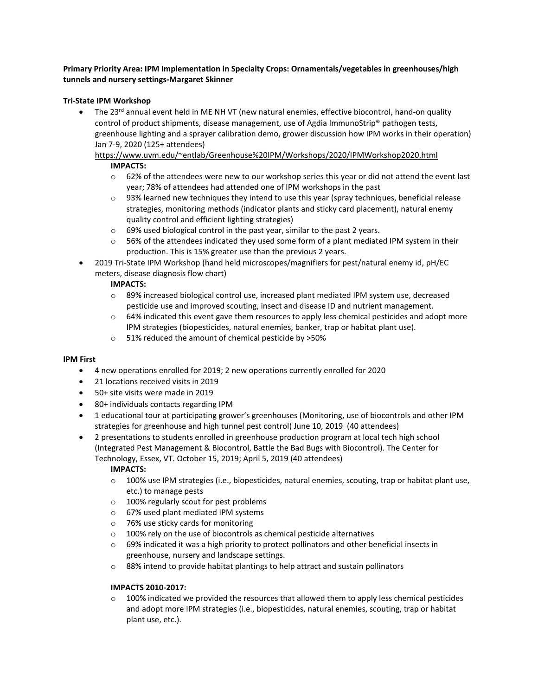## **Primary Priority Area: IPM Implementation in Specialty Crops: Ornamentals/vegetables in greenhouses/high tunnels and nursery settings-Margaret Skinner**

## **Tri-State IPM Workshop**

The 23<sup>rd</sup> annual event held in ME NH VT (new natural enemies, effective biocontrol, hand-on quality control of product shipments, disease management, use of Agdia ImmunoStrip® pathogen tests, greenhouse lighting and a sprayer calibration demo, grower discussion how IPM works in their operation) Jan 7-9, 2020 (125+ attendees)

# [https://www.uvm.edu/~entlab/Greenhouse%20IPM/Workshops/2020/IPMWorkshop2020.html](https://www.uvm.edu/%7Eentlab/Greenhouse%20IPM/Workshops/2020/IPMWorkshop2020.html) **IMPACTS:**

- $\circ$  62% of the attendees were new to our workshop series this year or did not attend the event last year; 78% of attendees had attended one of IPM workshops in the past
- o 93% learned new techniques they intend to use this year (spray techniques, beneficial release strategies, monitoring methods (indicator plants and sticky card placement), natural enemy quality control and efficient lighting strategies)
- o 69% used biological control in the past year, similar to the past 2 years.
- $\circ$  56% of the attendees indicated they used some form of a plant mediated IPM system in their production. This is 15% greater use than the previous 2 years.
- 2019 Tri-State IPM Workshop (hand held microscopes/magnifiers for pest/natural enemy id, pH/EC meters, disease diagnosis flow chart)

## **IMPACTS:**

- o 89% increased biological control use, increased plant mediated IPM system use, decreased pesticide use and improved scouting, insect and disease ID and nutrient management.
- $\circ$  64% indicated this event gave them resources to apply less chemical pesticides and adopt more IPM strategies (biopesticides, natural enemies, banker, trap or habitat plant use).
- o 51% reduced the amount of chemical pesticide by >50%

### **IPM First**

- 4 new operations enrolled for 2019; 2 new operations currently enrolled for 2020
- 21 locations received visits in 2019
- 50+ site visits were made in 2019
- 80+ individuals contacts regarding IPM
- 1 educational tour at participating grower's greenhouses (Monitoring, use of biocontrols and other IPM strategies for greenhouse and high tunnel pest control) June 10, 2019 (40 attendees)
- 2 presentations to students enrolled in greenhouse production program at local tech high school (Integrated Pest Management & Biocontrol, Battle the Bad Bugs with Biocontrol). The Center for Technology, Essex, VT. October 15, 2019; April 5, 2019 (40 attendees)

## **IMPACTS:**

- $\circ$  100% use IPM strategies (i.e., biopesticides, natural enemies, scouting, trap or habitat plant use, etc.) to manage pests
- o 100% regularly scout for pest problems
- o 67% used plant mediated IPM systems
- o 76% use sticky cards for monitoring
- o 100% rely on the use of biocontrols as chemical pesticide alternatives
- o 69% indicated it was a high priority to protect pollinators and other beneficial insects in greenhouse, nursery and landscape settings.
- o 88% intend to provide habitat plantings to help attract and sustain pollinators

### **IMPACTS 2010-2017:**

 $\circ$  100% indicated we provided the resources that allowed them to apply less chemical pesticides and adopt more IPM strategies (i.e., biopesticides, natural enemies, scouting, trap or habitat plant use, etc.).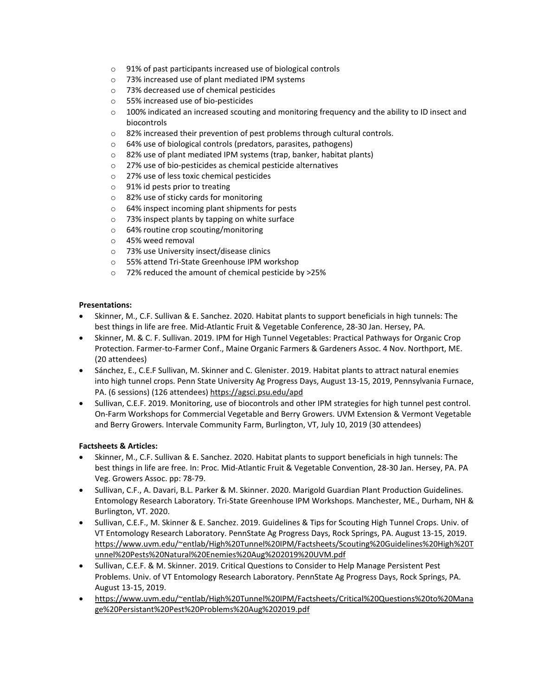- o 91% of past participants increased use of biological controls
- o 73% increased use of plant mediated IPM systems
- o 73% decreased use of chemical pesticides
- o 55% increased use of bio-pesticides
- o 100% indicated an increased scouting and monitoring frequency and the ability to ID insect and biocontrols
- o 82% increased their prevention of pest problems through cultural controls.
- o 64% use of biological controls (predators, parasites, pathogens)
- o 82% use of plant mediated IPM systems (trap, banker, habitat plants)
- o 27% use of bio-pesticides as chemical pesticide alternatives
- o 27% use of less toxic chemical pesticides
- o 91% id pests prior to treating
- o 82% use of sticky cards for monitoring
- o 64% inspect incoming plant shipments for pests
- o 73% inspect plants by tapping on white surface
- o 64% routine crop scouting/monitoring
- o 45% weed removal
- o 73% use University insect/disease clinics
- o 55% attend Tri-State Greenhouse IPM workshop
- o 72% reduced the amount of chemical pesticide by >25%

#### **Presentations:**

- Skinner, M., C.F. Sullivan & E. Sanchez. 2020. Habitat plants to support beneficials in high tunnels: The best things in life are free. Mid-Atlantic Fruit & Vegetable Conference, 28-30 Jan. Hersey, PA.
- Skinner, M. & C. F. Sullivan. 2019. IPM for High Tunnel Vegetables: Practical Pathways for Organic Crop Protection. Farmer-to-Farmer Conf., Maine Organic Farmers & Gardeners Assoc. 4 Nov. Northport, ME. (20 attendees)
- Sánchez, E., C.E.F Sullivan, M. Skinner and C. Glenister. 2019. Habitat plants to attract natural enemies into high tunnel crops. Penn State University Ag Progress Days, August 13-15, 2019, Pennsylvania Furnace, PA. (6 sessions) (126 attendees) <https://agsci.psu.edu/apd>
- Sullivan, C.E.F. 2019. Monitoring, use of biocontrols and other IPM strategies for high tunnel pest control. On-Farm Workshops for Commercial Vegetable and Berry Growers. UVM Extension & Vermont Vegetable and Berry Growers. Intervale Community Farm, Burlington, VT, July 10, 2019 (30 attendees)

### **Factsheets & Articles:**

- Skinner, M., C.F. Sullivan & E. Sanchez. 2020. Habitat plants to support beneficials in high tunnels: The best things in life are free. In: Proc. Mid-Atlantic Fruit & Vegetable Convention, 28-30 Jan. Hersey, PA. PA Veg. Growers Assoc. pp: 78-79.
- Sullivan, C.F., A. Davari, B.L. Parker & M. Skinner. 2020. Marigold Guardian Plant Production Guidelines. Entomology Research Laboratory. Tri-State Greenhouse IPM Workshops. Manchester, ME., Durham, NH & Burlington, VT. 2020.
- Sullivan, C.E.F., M. Skinner & E. Sanchez. 2019. Guidelines & Tips for Scouting High Tunnel Crops. Univ. of VT Entomology Research Laboratory. PennState Ag Progress Days, Rock Springs, PA. August 13-15, 2019. [https://www.uvm.edu/~entlab/High%20Tunnel%20IPM/Factsheets/Scouting%20Guidelines%20High%20T](https://www.uvm.edu/%7Eentlab/High%20Tunnel%20IPM/Factsheets/Scouting%20Guidelines%20High%20Tunnel%20Pests%20Natural%20Enemies%20Aug%202019%20UVM.pdf) [unnel%20Pests%20Natural%20Enemies%20Aug%202019%20UVM.pdf](https://www.uvm.edu/%7Eentlab/High%20Tunnel%20IPM/Factsheets/Scouting%20Guidelines%20High%20Tunnel%20Pests%20Natural%20Enemies%20Aug%202019%20UVM.pdf)
- Sullivan, C.E.F. & M. Skinner. 2019. Critical Questions to Consider to Help Manage Persistent Pest Problems. Univ. of VT Entomology Research Laboratory. PennState Ag Progress Days, Rock Springs, PA. August 13-15, 2019.
- [https://www.uvm.edu/~entlab/High%20Tunnel%20IPM/Factsheets/Critical%20Questions%20to%20Mana](https://www.uvm.edu/%7Eentlab/High%20Tunnel%20IPM/Factsheets/Critical%20Questions%20to%20Manage%20Persistant%20Pest%20Problems%20Aug%202019.pdf) [ge%20Persistant%20Pest%20Problems%20Aug%202019.pdf](https://www.uvm.edu/%7Eentlab/High%20Tunnel%20IPM/Factsheets/Critical%20Questions%20to%20Manage%20Persistant%20Pest%20Problems%20Aug%202019.pdf)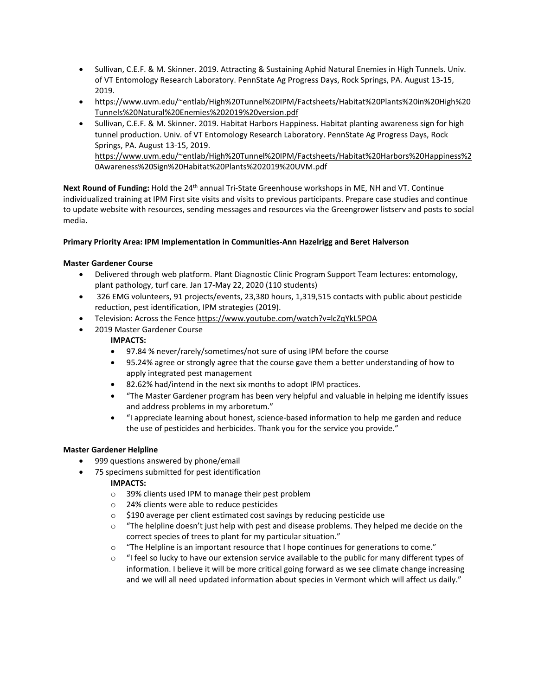- Sullivan, C.E.F. & M. Skinner. 2019. Attracting & Sustaining Aphid Natural Enemies in High Tunnels. Univ. of VT Entomology Research Laboratory. PennState Ag Progress Days, Rock Springs, PA. August 13-15, 2019.
- [https://www.uvm.edu/~entlab/High%20Tunnel%20IPM/Factsheets/Habitat%20Plants%20in%20High%20](https://www.uvm.edu/%7Eentlab/High%20Tunnel%20IPM/Factsheets/Habitat%20Plants%20in%20High%20Tunnels%20Natural%20Enemies%202019%20version.pdf) [Tunnels%20Natural%20Enemies%202019%20version.pdf](https://www.uvm.edu/%7Eentlab/High%20Tunnel%20IPM/Factsheets/Habitat%20Plants%20in%20High%20Tunnels%20Natural%20Enemies%202019%20version.pdf)
- Sullivan, C.E.F. & M. Skinner. 2019. Habitat Harbors Happiness. Habitat planting awareness sign for high tunnel production. Univ. of VT Entomology Research Laboratory. PennState Ag Progress Days, Rock Springs, PA. August 13-15, 2019. [https://www.uvm.edu/~entlab/High%20Tunnel%20IPM/Factsheets/Habitat%20Harbors%20Happiness%2](https://www.uvm.edu/%7Eentlab/High%20Tunnel%20IPM/Factsheets/Habitat%20Harbors%20Happiness%20Awareness%20Sign%20Habitat%20Plants%202019%20UVM.pdf) [0Awareness%20Sign%20Habitat%20Plants%202019%20UVM.pdf](https://www.uvm.edu/%7Eentlab/High%20Tunnel%20IPM/Factsheets/Habitat%20Harbors%20Happiness%20Awareness%20Sign%20Habitat%20Plants%202019%20UVM.pdf)

Next Round of Funding: Hold the 24<sup>th</sup> annual Tri-State Greenhouse workshops in ME, NH and VT. Continue individualized training at IPM First site visits and visits to previous participants. Prepare case studies and continue to update website with resources, sending messages and resources via the Greengrower listserv and posts to social media.

## **Primary Priority Area: IPM Implementation in Communities-Ann Hazelrigg and Beret Halverson**

## **Master Gardener Course**

- Delivered through web platform. Plant Diagnostic Clinic Program Support Team lectures: entomology, plant pathology, turf care. Jan 17-May 22, 2020 (110 students)
- 326 EMG volunteers, 91 projects/events, 23,380 hours, 1,319,515 contacts with public about pesticide reduction, pest identification, IPM strategies (2019).
- Television: Across the Fence <https://www.youtube.com/watch?v=lcZqYkL5POA>
- 2019 Master Gardener Course

### **IMPACTS:**

- 97.84 % never/rarely/sometimes/not sure of using IPM before the course
- 95.24% agree or strongly agree that the course gave them a better understanding of how to apply integrated pest management
- 82.62% had/intend in the next six months to adopt IPM practices.
- "The Master Gardener program has been very helpful and valuable in helping me identify issues and address problems in my arboretum."
- "I appreciate learning about honest, science-based information to help me garden and reduce the use of pesticides and herbicides. Thank you for the service you provide."

### **Master Gardener Helpline**

- 999 questions answered by phone/email
- 75 specimens submitted for pest identification

- o 39% clients used IPM to manage their pest problem
- o 24% clients were able to reduce pesticides
- o \$190 average per client estimated cost savings by reducing pesticide use
- $\circ$  "The helpline doesn't just help with pest and disease problems. They helped me decide on the correct species of trees to plant for my particular situation."
- o "The Helpline is an important resource that I hope continues for generations to come."
- $\circ$  "I feel so lucky to have our extension service available to the public for many different types of information. I believe it will be more critical going forward as we see climate change increasing and we will all need updated information about species in Vermont which will affect us daily."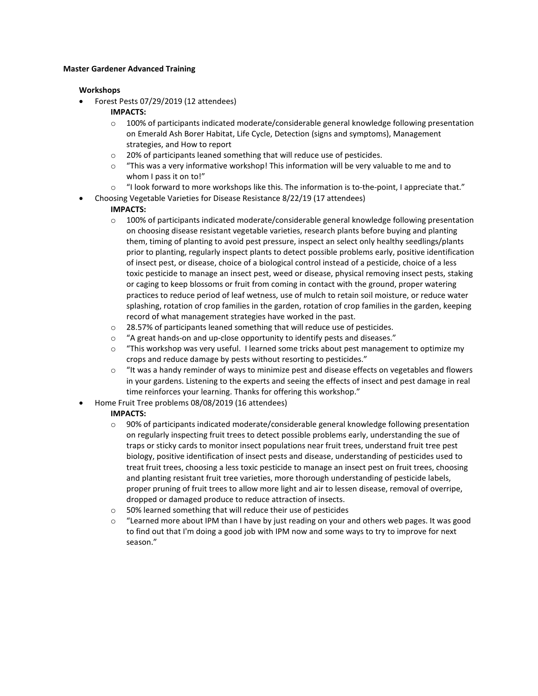#### **Master Gardener Advanced Training**

#### **Workshops**

• Forest Pests 07/29/2019 (12 attendees)

### **IMPACTS:**

- $\circ$  100% of participants indicated moderate/considerable general knowledge following presentation on Emerald Ash Borer Habitat, Life Cycle, Detection (signs and symptoms), Management strategies, and How to report
- o 20% of participants leaned something that will reduce use of pesticides.
- $\circ$  "This was a very informative workshop! This information will be very valuable to me and to whom I pass it on to!"
- $\circ$  "I look forward to more workshops like this. The information is to-the-point, I appreciate that."
- Choosing Vegetable Varieties for Disease Resistance 8/22/19 (17 attendees)

## **IMPACTS:**

- $\circ$  100% of participants indicated moderate/considerable general knowledge following presentation on choosing disease resistant vegetable varieties, research plants before buying and planting them, timing of planting to avoid pest pressure, inspect an select only healthy seedlings/plants prior to planting, regularly inspect plants to detect possible problems early, positive identification of insect pest, or disease, choice of a biological control instead of a pesticide, choice of a less toxic pesticide to manage an insect pest, weed or disease, physical removing insect pests, staking or caging to keep blossoms or fruit from coming in contact with the ground, proper watering practices to reduce period of leaf wetness, use of mulch to retain soil moisture, or reduce water splashing, rotation of crop families in the garden, rotation of crop families in the garden, keeping record of what management strategies have worked in the past.
- $\circ$  28.57% of participants leaned something that will reduce use of pesticides.
- $\circ$  "A great hands-on and up-close opportunity to identify pests and diseases."<br> $\circ$  "This workshop was very useful. I learned some tricks about pest managem
- "This workshop was very useful. I learned some tricks about pest management to optimize my crops and reduce damage by pests without resorting to pesticides."
- $\circ$  "It was a handy reminder of ways to minimize pest and disease effects on vegetables and flowers in your gardens. Listening to the experts and seeing the effects of insect and pest damage in real time reinforces your learning. Thanks for offering this workshop."
- Home Fruit Tree problems 08/08/2019 (16 attendees)

- $\circ$  90% of participants indicated moderate/considerable general knowledge following presentation on regularly inspecting fruit trees to detect possible problems early, understanding the sue of traps or sticky cards to monitor insect populations near fruit trees, understand fruit tree pest biology, positive identification of insect pests and disease, understanding of pesticides used to treat fruit trees, choosing a less toxic pesticide to manage an insect pest on fruit trees, choosing and planting resistant fruit tree varieties, more thorough understanding of pesticide labels, proper pruning of fruit trees to allow more light and air to lessen disease, removal of overripe, dropped or damaged produce to reduce attraction of insects.
- o 50% learned something that will reduce their use of pesticides
- o "Learned more about IPM than I have by just reading on your and others web pages. It was good to find out that I'm doing a good job with IPM now and some ways to try to improve for next season."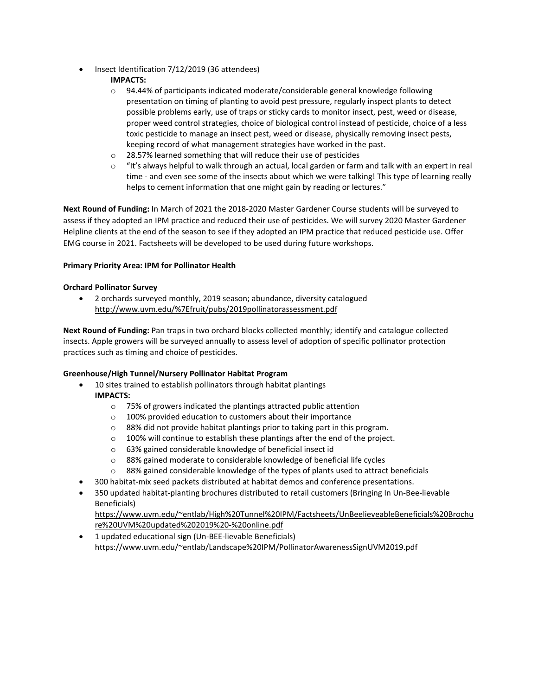• Insect Identification 7/12/2019 (36 attendees)

# **IMPACTS:**

- $\circ$  94.44% of participants indicated moderate/considerable general knowledge following presentation on timing of planting to avoid pest pressure, regularly inspect plants to detect possible problems early, use of traps or sticky cards to monitor insect, pest, weed or disease, proper weed control strategies, choice of biological control instead of pesticide, choice of a less toxic pesticide to manage an insect pest, weed or disease, physically removing insect pests, keeping record of what management strategies have worked in the past.
- o 28.57% learned something that will reduce their use of pesticides
- $\circ$  "It's always helpful to walk through an actual, local garden or farm and talk with an expert in real time - and even see some of the insects about which we were talking! This type of learning really helps to cement information that one might gain by reading or lectures."

**Next Round of Funding:** In March of 2021 the 2018-2020 Master Gardener Course students will be surveyed to assess if they adopted an IPM practice and reduced their use of pesticides. We will survey 2020 Master Gardener Helpline clients at the end of the season to see if they adopted an IPM practice that reduced pesticide use. Offer EMG course in 2021. Factsheets will be developed to be used during future workshops.

## **Primary Priority Area: IPM for Pollinator Health**

## **Orchard Pollinator Survey**

• 2 orchards surveyed monthly, 2019 season; abundance, diversity catalogued <http://www.uvm.edu/%7Efruit/pubs/2019pollinatorassessment.pdf>

**Next Round of Funding:** Pan traps in two orchard blocks collected monthly; identify and catalogue collected insects. Apple growers will be surveyed annually to assess level of adoption of specific pollinator protection practices such as timing and choice of pesticides.

# **Greenhouse/High Tunnel/Nursery Pollinator Habitat Program**

- 10 sites trained to establish pollinators through habitat plantings **IMPACTS:**
	- o 75% of growers indicated the plantings attracted public attention
	- o 100% provided education to customers about their importance
	- o 88% did not provide habitat plantings prior to taking part in this program.
	- $\circ$  100% will continue to establish these plantings after the end of the project.
	- o 63% gained considerable knowledge of beneficial insect id
	- o 88% gained moderate to considerable knowledge of beneficial life cycles
	- $\circ$  88% gained considerable knowledge of the types of plants used to attract beneficials
- 300 habitat-mix seed packets distributed at habitat demos and conference presentations.
- 350 updated habitat-planting brochures distributed to retail customers (Bringing In Un-Bee-lievable Beneficials)

[https://www.uvm.edu/~entlab/High%20Tunnel%20IPM/Factsheets/UnBeelieveableBeneficials%20Brochu](https://www.uvm.edu/%7Eentlab/High%20Tunnel%20IPM/Factsheets/UnBeelieveableBeneficials%20Brochure%20UVM%20updated%202019%20-%20online.pdf) [re%20UVM%20updated%202019%20-%20online.pdf](https://www.uvm.edu/%7Eentlab/High%20Tunnel%20IPM/Factsheets/UnBeelieveableBeneficials%20Brochure%20UVM%20updated%202019%20-%20online.pdf)

• 1 updated educational sign (Un-BEE-lievable Beneficials) [https://www.uvm.edu/~entlab/Landscape%20IPM/PollinatorAwarenessSignUVM2019.pdf](https://www.uvm.edu/%7Eentlab/Landscape%20IPM/PollinatorAwarenessSignUVM2019.pdf)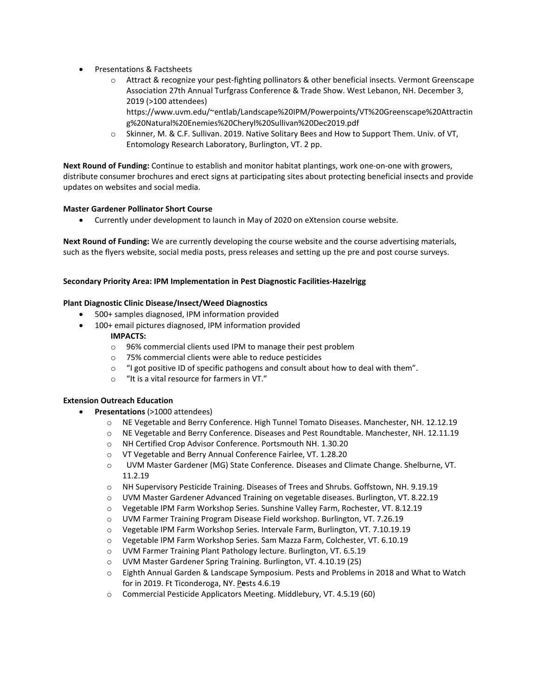- Presentations & Factsheets
	- o Attract & recognize your pest-fighting pollinators & other beneficial insects. Vermont Greenscape Association 27th Annual Turfgrass Conference & Trade Show. West Lebanon, NH. December 3, 2019 (>100 attendees)
		- https://www.uvm.edu/~entlab/Landscape%20IPM/Powerpoints/VT%20Greenscape%20Attractin g%20Natural%20Enemies%20Cheryl%20Sullivan%20Dec2019.pdf
	- o Skinner, M. & C.F. Sullivan. 2019. Native Solitary Bees and How to Support Them. Univ. of VT, Entomology Research Laboratory, Burlington, VT. 2 pp.

**Next Round of Funding:** Continue to establish and monitor habitat plantings, work one-on-one with growers, distribute consumer brochures and erect signs at participating sites about protecting beneficial insects and provide updates on websites and social media.

### **Master Gardener Pollinator Short Course**

• Currently under development to launch in May of 2020 on eXtension course website.

**Next Round of Funding:** We are currently developing the course website and the course advertising materials, such as the flyers website, social media posts, press releases and setting up the pre and post course surveys.

#### **Secondary Priority Area: IPM Implementation in Pest Diagnostic Facilities-Hazelrigg**

#### **Plant Diagnostic Clinic Disease/Insect/Weed Diagnostics**

- 500+ samples diagnosed, IPM information provided
- 100+ email pictures diagnosed, IPM information provided **IMPACTS:**
	- o 96% commercial clients used IPM to manage their pest problem
	- o 75% commercial clients were able to reduce pesticides
	- $\circ$  "I got positive ID of specific pathogens and consult about how to deal with them".
	- o "It is a vital resource for farmers in VT."

## **Extension Outreach Education**

- **Presentations** (>1000 attendees)
	- o NE Vegetable and Berry Conference. High Tunnel Tomato Diseases. Manchester, NH. 12.12.19
	- o NE Vegetable and Berry Conference. Diseases and Pest Roundtable. Manchester, NH. 12.11.19
	- o NH Certified Crop Advisor Conference. Portsmouth NH. 1.30.20
	- o VT Vegetable and Berry Annual Conference Fairlee, VT. 1.28.20
	- o UVM Master Gardener (MG) State Conference. Diseases and Climate Change. Shelburne, VT. 11.2.19
	- o NH Supervisory Pesticide Training. Diseases of Trees and Shrubs. Goffstown, NH. 9.19.19
	- o UVM Master Gardener Advanced Training on vegetable diseases. Burlington, VT. 8.22.19
	- o Vegetable IPM Farm Workshop Series. Sunshine Valley Farm, Rochester, VT. 8.12.19
	- o UVM Farmer Training Program Disease Field workshop. Burlington, VT. 7.26.19
	- o Vegetable IPM Farm Workshop Series. Intervale Farm, Burlington, VT. 7.10.19.19
	- o Vegetable IPM Farm Workshop Series. Sam Mazza Farm, Colchester, VT. 6.10.19
	- o UVM Farmer Training Plant Pathology lecture. Burlington, VT. 6.5.19
	- o UVM Master Gardener Spring Training. Burlington, VT. 4.10.19 (25)
	- o Eighth Annual Garden & Landscape Symposium. Pests and Problems in 2018 and What to Watch for in 2019. Ft Ticonderoga, NY. P**e**sts 4.6.19
	- o Commercial Pesticide Applicators Meeting. Middlebury, VT. 4.5.19 (60)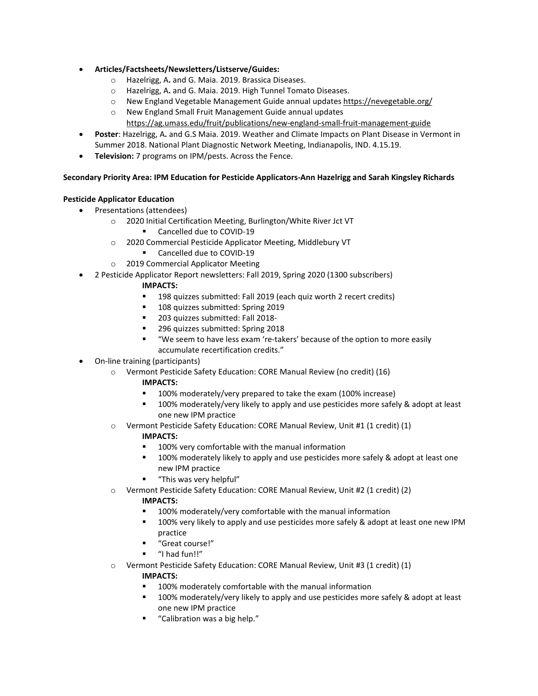- **Articles/Factsheets/Newsletters/Listserve/Guides:**
	- o Hazelrigg, A**.** and G. Maia. 2019. Brassica Diseases.
	- o Hazelrigg, A**.** and G. Maia. 2019. High Tunnel Tomato Diseases.
	- o New England Vegetable Management Guide annual updates<https://nevegetable.org/>
	- o New England Small Fruit Management Guide annual updates <https://ag.umass.edu/fruit/publications/new-england-small-fruit-management-guide>
- **Poster**: Hazelrigg, A**.** and G.S Maia. 2019. Weather and Climate Impacts on Plant Disease in Vermont in Summer 2018. National Plant Diagnostic Network Meeting, Indianapolis, IND. 4.15.19.
- **Television:** 7 programs on IPM/pests. Across the Fence.

### **Secondary Priority Area: IPM Education for Pesticide Applicators-Ann Hazelrigg and Sarah Kingsley Richards**

### **Pesticide Applicator Education**

- Presentations (attendees)
	- o 2020 Initial Certification Meeting, Burlington/White River Jct VT
		- Cancelled due to COVID-19
	- o 2020 Commercial Pesticide Applicator Meeting, Middlebury VT
		- Cancelled due to COVID-19
	- o 2019 Commercial Applicator Meeting
- 2 Pesticide Applicator Report newsletters: Fall 2019, Spring 2020 (1300 subscribers)
	- **IMPACTS:**
		- 198 quizzes submitted: Fall 2019 (each quiz worth 2 recert credits)
		- 108 quizzes submitted: Spring 2019
		- **203 quizzes submitted: Fall 2018-**
		- 296 quizzes submitted: Spring 2018
		- "We seem to have less exam 're-takers' because of the option to more easily accumulate recertification credits."
- On-line training (participants)
	- o Vermont Pesticide Safety Education: CORE Manual Review (no credit) (16)
		- **IMPACTS:**
			- 100% moderately/very prepared to take the exam (100% increase)
			- 100% moderately/very likely to apply and use pesticides more safely & adopt at least one new IPM practice
	- o Vermont Pesticide Safety Education: CORE Manual Review, Unit #1 (1 credit) (1)

### **IMPACTS:**

- **100% very comfortable with the manual information**
- **100% moderately likely to apply and use pesticides more safely & adopt at least one** new IPM practice
- "This was very helpful"
- o Vermont Pesticide Safety Education: CORE Manual Review, Unit #2 (1 credit) (2)

### **IMPACTS:**

- 100% moderately/very comfortable with the manual information
- 100% very likely to apply and use pesticides more safely & adopt at least one new IPM practice
- "Great course!"
- "I had fun!!"
- o Vermont Pesticide Safety Education: CORE Manual Review, Unit #3 (1 credit) (1)

- 100% moderately comfortable with the manual information
- **100% moderately/very likely to apply and use pesticides more safely & adopt at least** one new IPM practice
- "Calibration was a big help."